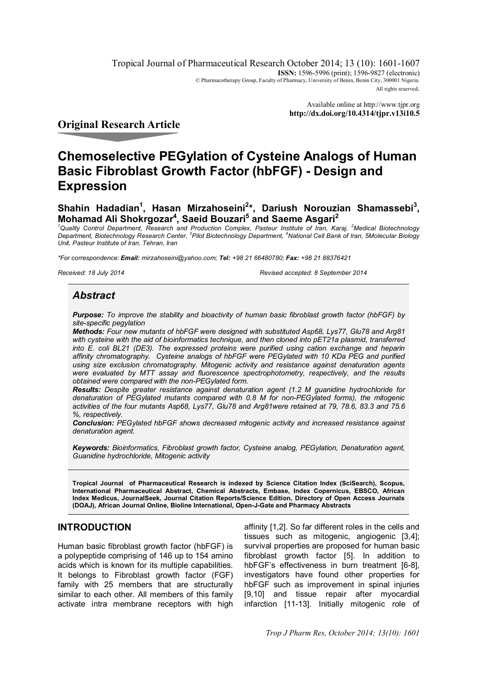Tropical Journal of Pharmaceutical Research October 2014; 13 (10): 1601-1607 **ISSN:** 1596-5996 (print); 1596-9827 (electronic) © Pharmacotherapy Group, Faculty of Pharmacy, University of Benin, Benin City, 300001 Nigeria. All rights reserved.

> Available online at http://www.tjpr.org **http://dx.doi.org/10.4314/tjpr.v13i10.5**

# **Original Research Article**

# **Chemoselective PEGylation of Cysteine Analogs of Human Basic Fibroblast Growth Factor (hbFGF) - Design and Expression**

# $Shah$ in Hadadian<sup>1</sup>, Hasan Mirzahoseini<sup>2</sup>\*, Dariush Norouzian Shamassebi<sup>3</sup>, **Mohamad Ali Shokrgozar<sup>4</sup> , Saeid Bouzari<sup>5</sup> and Saeme Asgari<sup>2</sup>**

*<sup>1</sup>Quality Control Department, Research and Production Complex, Pasteur Institute of Iran, Karaj, <sup>2</sup>Medical Biotechnology Department, Biotechnology Research Center, <sup>3</sup> Pilot Biotechnology Department, <sup>4</sup>National Cell Bank of Iran, 5Molecular Biology Unit, Pasteur Institute of Iran, Tehran, Iran*

*\*For correspondence: Email: mirzahoseini@yahoo.com; Tel: +98 21 66480780; Fax: +98 21 88376421*

*Received: 18 July 2014 Revised accepted: 8 September 2014*

# *Abstract*

*Purpose: To improve the stability and bioactivity of human basic fibroblast growth factor (hbFGF) by site-specific pegylation* 

*Methods: Four new mutants of hbFGF were designed with substituted Asp68, Lys77, Glu78 and Arg81*  with cysteine with the aid of bioinformatics technique, and then cloned into pET21a plasmid, transferred *into E. coli BL21 (DE3). The expressed proteins were purified using cation exchange and heparin affinity chromatography. Cysteine analogs of hbFGF were PEGylated with 10 KDa PEG and purified using size exclusion chromatography. Mitogenic activity and resistance against denaturation agents were evaluated by MTT assay and fluorescence spectrophotometry, respectively, and the results obtained were compared with the non-PEGylated form.* 

*Results: Despite greater resistance against denaturation agent (1.2 M guanidine hydrochloride for denaturation of PEGylated mutants compared with 0.8 M for non-PEGylated forms), the mitogenic activities of the four mutants Asp68, Lys77, Glu78 and Arg81were retained at 79, 78.6, 83.3 and 75.6 %, respectively.*

*Conclusion: PEGylated hbFGF shows decreased mitogenic activity and increased resistance against denaturation agent.*

*Keywords: Bioinformatics, Fibroblast growth factor, Cysteine analog, PEGylation, Denaturation agent, Guanidine hydrochloride, Mitogenic activity*

**Tropical Journal of Pharmaceutical Research is indexed by Science Citation Index (SciSearch), Scopus, International Pharmaceutical Abstract, Chemical Abstracts, Embase, Index Copernicus, EBSCO, African Index Medicus, JournalSeek, Journal Citation Reports/Science Edition, Directory of Open Access Journals (DOAJ), African Journal Online, Bioline International, Open-J-Gate and Pharmacy Abstracts**

## **INTRODUCTION**

Human basic fibroblast growth factor (hbFGF) is a polypeptide comprising of 146 up to 154 amino acids which is known for its multiple capabilities. It belongs to Fibroblast growth factor (FGF) family with 25 members that are structurally similar to each other. All members of this family activate intra membrane receptors with high

affinity [1,2]. So far different roles in the cells and tissues such as mitogenic, angiogenic [3,4]; survival properties are proposed for human basic fibroblast growth factor [5]. In addition to hbFGF's effectiveness in burn treatment [6-8], investigators have found other properties for hbFGF such as improvement in spinal injuries [9,10] and tissue repair after myocardial infarction [11-13]. Initially mitogenic role of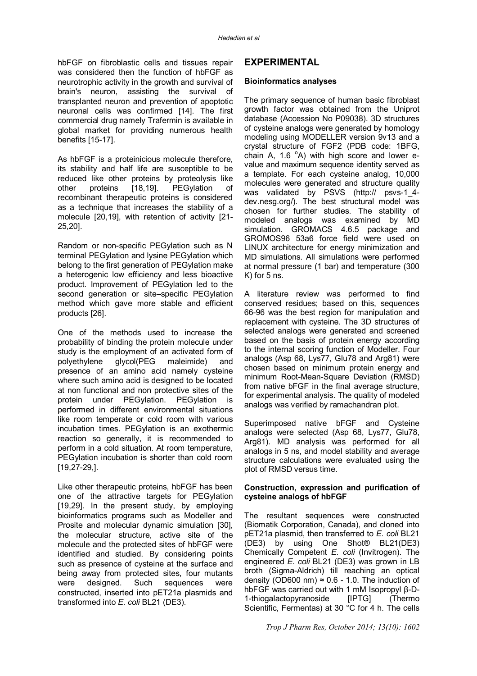hbFGF on fibroblastic cells and tissues repair was considered then the function of hbFGF as neurotrophic activity in the growth and survival of brain's neuron, assisting the survival of transplanted neuron and prevention of apoptotic neuronal cells was confirmed [14]. The first commercial drug namely Trafermin is available in global market for providing numerous health benefits [15-17].

As hbFGF is a proteinicious molecule therefore, its stability and half life are susceptible to be reduced like other proteins by proteolysis like other proteins [18,19]. PEGylation of recombinant therapeutic proteins is considered as a technique that increases the stability of a molecule [20,19], with retention of activity [21- 25,20].

Random or non-specific PEGylation such as N terminal PEGylation and lysine PEGylation which belong to the first generation of PEGylation make a heterogenic low efficiency and less bioactive product. Improvement of PEGylation led to the second generation or site–specific PEGylation method which gave more stable and efficient products [26].

One of the methods used to increase the probability of binding the protein molecule under study is the employment of an activated form of polyethylene glycol(PEG maleimide) and presence of an amino acid namely cysteine where such amino acid is designed to be located at non functional and non protective sites of the protein under PEGylation. PEGylation is performed in different environmental situations like room temperate or cold room with various incubation times. PEGylation is an exothermic reaction so generally, it is recommended to perform in a cold situation. At room temperature, PEGylation incubation is shorter than cold room [19,27-29,].

Like other therapeutic proteins, hbFGF has been one of the attractive targets for PEGylation [19,29]. In the present study, by employing bioinformatics programs such as Modeller and Prosite and molecular dynamic simulation [30], the molecular structure, active site of the molecule and the protected sites of hbFGF were identified and studied. By considering points such as presence of cysteine at the surface and being away from protected sites, four mutants were designed. Such sequences were constructed, inserted into pET21a plasmids and transformed into *E. coli* BL21 (DE3).

## **EXPERIMENTAL**

#### **Bioinformatics analyses**

The primary sequence of human basic fibroblast growth factor was obtained from the Uniprot database (Accession No P09038). 3D structures of cysteine analogs were generated by homology modeling using MODELLER version 9v13 and a crystal structure of FGF2 (PDB code: 1BFG, chain A, 1.6 $^{\circ}$ A) with high score and lower evalue and maximum sequence identity served as a template. For each cysteine analog, 10,000 molecules were generated and structure quality was validated by PSVS (http:// psvs-1 4dev.nesg.org/). The best structural model was chosen for further studies. The stability of modeled analogs was examined by MD simulation. GROMACS 4.6.5 package and GROMOS96 53a6 force field were used on LINUX architecture for energy minimization and MD simulations. All simulations were performed at normal pressure (1 bar) and temperature (300 K) for 5 ns.

A literature review was performed to find conserved residues; based on this, sequences 66-96 was the best region for manipulation and replacement with cysteine. The 3D structures of selected analogs were generated and screened based on the basis of protein energy according to the internal scoring function of Modeller. Four analogs (Asp 68, Lys77, Glu78 and Arg81) were chosen based on minimum protein energy and minimum Root-Mean-Square Deviation (RMSD) from native bFGF in the final average structure, for experimental analysis. The quality of modeled analogs was verified by ramachandran plot.

Superimposed native bFGF and Cysteine analogs were selected (Asp 68, Lys77, Glu78, Arg81). MD analysis was performed for all analogs in 5 ns, and model stability and average structure calculations were evaluated using the plot of RMSD versus time.

#### **Construction, expression and purification of cysteine analogs of hbFGF**

The resultant sequences were constructed (Biomatik Corporation, Canada), and cloned into pET21a plasmid, then transferred to *E. coli* BL21 (DE3) by using One Shot® BL21(DE3) Chemically Competent *E. coli* (Invitrogen). The engineered *E. coli* BL21 (DE3) was grown in LB broth (Sigma-Aldrich) till reaching an optical density (OD600 nm)  $\approx$  0.6 - 1.0. The induction of hbFGF was carried out with 1 mM Isopropyl β-D-1-thiogalactopyranoside [IPTG] (Thermo Scientific, Fermentas) at 30 °C for 4 h. The cells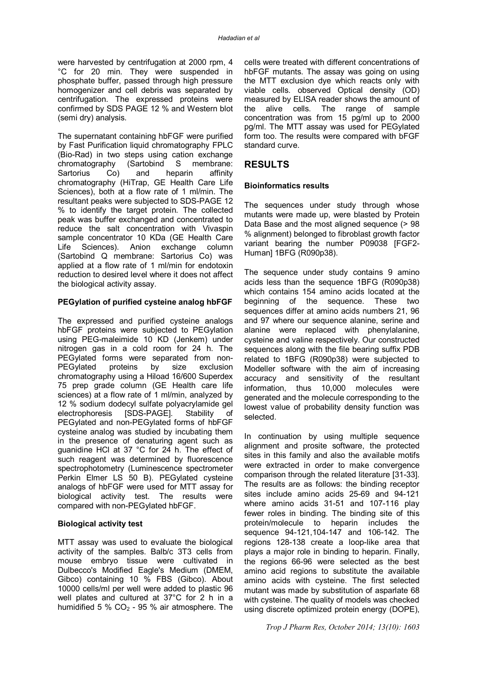were harvested by centrifugation at 2000 rpm, 4 °C for 20 min. They were suspended in phosphate buffer, passed through high pressure homogenizer and cell debris was separated by centrifugation. The expressed proteins were confirmed by SDS PAGE 12 % and Western blot (semi dry) analysis.

The supernatant containing hbFGF were purified by Fast Purification liquid chromatography FPLC (Bio-Rad) in two steps using cation exchange chromatography (Sartobind S membrane: Sartorius Co) and heparin affinity chromatography (HiTrap, GE Health Care Life Sciences), both at a flow rate of 1 ml/min. The resultant peaks were subjected to SDS-PAGE 12 % to identify the target protein. The collected peak was buffer exchanged and concentrated to reduce the salt concentration with Vivaspin sample concentrator 10 KDa (GE Health Care Life Sciences). Anion exchange column (Sartobind Q membrane: Sartorius Co) was applied at a flow rate of 1 ml/min for endotoxin reduction to desired level where it does not affect the biological activity assay.

#### **PEGylation of purified cysteine analog hbFGF**

The expressed and purified cysteine analogs hbFGF proteins were subjected to PEGylation using PEG-maleimide 10 KD (Jenkem) under nitrogen gas in a cold room for 24 h. The PEGylated forms were separated from non-PEGylated proteins by size exclusion chromatography using a Hiload 16/600 Superdex 75 prep grade column (GE Health care life sciences) at a flow rate of 1 ml/min, analyzed by 12 % sodium dodecyl sulfate polyacrylamide gel electrophoresis [SDS-PAGE]. Stability of PEGylated and non-PEGylated forms of hbFGF cysteine analog was studied by incubating them in the presence of denaturing agent such as guanidine HCl at 37 °C for 24 h. The effect of such reagent was determined by fluorescence spectrophotometry (Luminescence spectrometer Perkin Elmer LS 50 B). PEGylated cysteine analogs of hbFGF were used for MTT assay for biological activity test. The results were compared with non-PEGylated hbFGF.

#### **Biological activity test**

MTT assay was used to evaluate the biological activity of the samples. Balb/c 3T3 cells from mouse embryo tissue were cultivated in Dulbecco's Modified Eagle's Medium (DMEM, Gibco) containing 10 % FBS (Gibco). About 10000 cells/ml per well were added to plastic 96 well plates and cultured at 37°C for 2 h in a humidified 5 %  $CO<sub>2</sub>$  - 95 % air atmosphere. The

cells were treated with different concentrations of hbFGF mutants. The assay was going on using the MTT exclusion dye which reacts only with viable cells. observed Optical density (OD) measured by ELISA reader shows the amount of the alive cells. The range of sample concentration was from 15 pg/ml up to 2000 pg/ml. The MTT assay was used for PEGylated form too. The results were compared with bFGF standard curve.

## **RESULTS**

#### **Bioinformatics results**

The sequences under study through whose mutants were made up, were blasted by Protein Data Base and the most aligned sequence (> 98 % alignment) belonged to fibroblast growth factor variant bearing the number P09038 [FGF2- Human] 1BFG (R090p38).

The sequence under study contains 9 amino acids less than the sequence 1BFG (R090p38) which contains 154 amino acids located at the beginning of the sequence. These two sequences differ at amino acids numbers 21, 96 and 97 where our sequence alanine, serine and alanine were replaced with phenylalanine, cysteine and valine respectively. Our constructed sequences along with the file bearing suffix PDB related to 1BFG (R090p38) were subjected to Modeller software with the aim of increasing accuracy and sensitivity of the resultant information, thus 10,000 molecules were generated and the molecule corresponding to the lowest value of probability density function was selected.

In continuation by using multiple sequence alignment and prosite software, the protected sites in this family and also the available motifs were extracted in order to make convergence comparison through the related literature [31-33]. The results are as follows: the binding receptor sites include amino acids 25-69 and 94-121 where amino acids 31-51 and 107-116 play fewer roles in binding. The binding site of this protein/molecule to heparin includes the sequence 94-121,104-147 and 106-142. The regions 128-138 create a loop-like area that plays a major role in binding to heparin. Finally, the regions 66-96 were selected as the best amino acid regions to substitute the available amino acids with cysteine. The first selected mutant was made by substitution of asparlate 68 with cysteine. The quality of models was checked using discrete optimized protein energy (DOPE),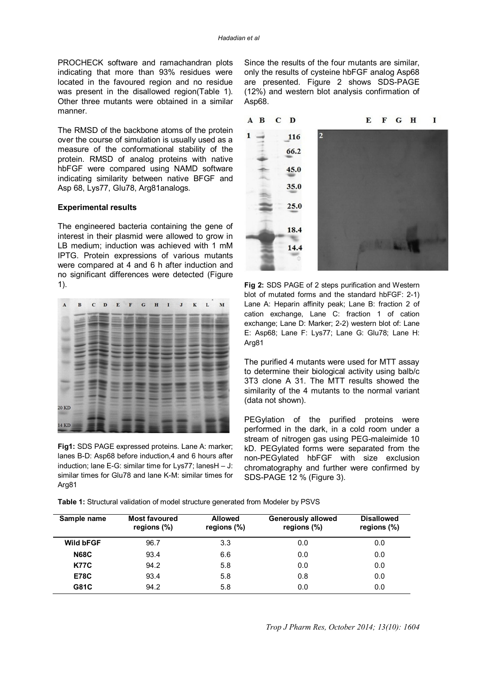PROCHECK software and ramachandran plots indicating that more than 93% residues were located in the favoured region and no residue was present in the disallowed region(Table 1). Other three mutants were obtained in a similar manner.

The RMSD of the backbone atoms of the protein over the course of simulation is usually used as a measure of the conformational stability of the protein. RMSD of analog proteins with native hbFGF were compared using NAMD software indicating similarity between native BFGF and Asp 68, Lys77, Glu78, Arg81analogs.

#### **Experimental results**

The engineered bacteria containing the gene of interest in their plasmid were allowed to grow in LB medium; induction was achieved with 1 mM IPTG. Protein expressions of various mutants were compared at 4 and 6 h after induction and no significant differences were detected (Figure 1).



**Fig1:** SDS PAGE expressed proteins. Lane A: marker; lanes B-D: Asp68 before induction,4 and 6 hours after induction; lane E-G: similar time for Lys77; lanesH – J: similar times for Glu78 and lane K-M: similar times for Arg81

Since the results of the four mutants are similar, only the results of cysteine hbFGF analog Asp68 are presented. Figure 2 shows SDS-PAGE (12%) and western blot analysis confirmation of Asp68.



**Fig 2:** SDS PAGE of 2 steps purification and Western blot of mutated forms and the standard hbFGF: 2-1) Lane A: Heparin affinity peak; Lane B: fraction 2 of cation exchange, Lane C: fraction 1 of cation exchange; Lane D: Marker; 2-2) western blot of: Lane E: Asp68; Lane F: Lys77; Lane G: Glu78; Lane H: Arg81

The purified 4 mutants were used for MTT assay to determine their biological activity using balb/c 3T3 clone A 31. The MTT results showed the similarity of the 4 mutants to the normal variant (data not shown).

PEGylation of the purified proteins were performed in the dark, in a cold room under a stream of nitrogen gas using PEG-maleimide 10 kD. PEGylated forms were separated from the non-PEGylated hbFGF with size exclusion chromatography and further were confirmed by SDS-PAGE 12 % (Figure 3).

| Table 1: Structural validation of model structure generated from Modeler by PSVS |  |  |  |  |  |  |  |  |  |  |  |
|----------------------------------------------------------------------------------|--|--|--|--|--|--|--|--|--|--|--|
|----------------------------------------------------------------------------------|--|--|--|--|--|--|--|--|--|--|--|

| Sample name      | <b>Most favoured</b><br>regions $(\%)$ | <b>Allowed</b><br>regions $(\%)$ | <b>Generously allowed</b><br>regions $(\%)$ | <b>Disallowed</b><br>regions $(\%)$ |
|------------------|----------------------------------------|----------------------------------|---------------------------------------------|-------------------------------------|
| <b>Wild bFGF</b> | 96.7                                   | 3.3                              | 0.0                                         | 0.0                                 |
| <b>N68C</b>      | 93.4                                   | 6.6                              | 0.0                                         | 0.0                                 |
| <b>K77C</b>      | 94.2                                   | 5.8                              | 0.0                                         | 0.0                                 |
| <b>E78C</b>      | 93.4                                   | 5.8                              | 0.8                                         | 0.0                                 |
| G81C             | 94.2                                   | 5.8                              | 0.0                                         | 0.0                                 |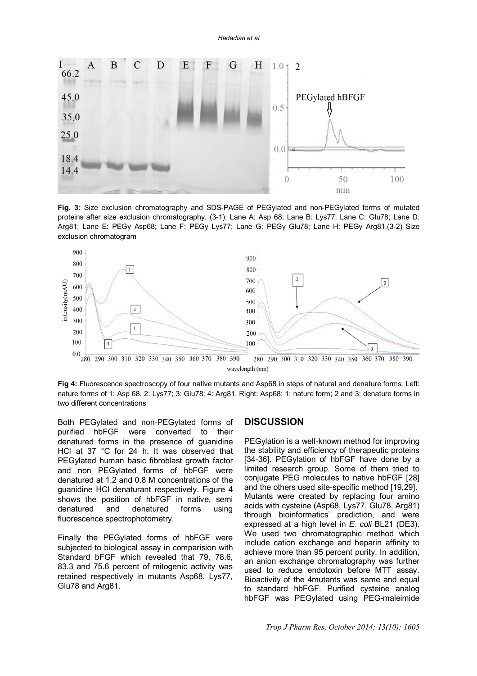*Hadadian et al*



**Fig. 3:** Size exclusion chromatography and SDS-PAGE of PEGylated and non-PEGylated forms of mutated proteins after size exclusion chromatography. (3-1): Lane A: Asp 68; Lane B: Lys77; Lane C: Glu78; Lane D: Arg81; Lane E: PEGy Asp68; Lane F: PEGy Lys77; Lane G: PEGy Glu78; Lane H: PEGy Arg81.(3-2) Size exclusion chromatogram



**Fig 4:** Fluorescence spectroscopy of four native mutants and Asp68 in steps of natural and denature forms. Left: nature forms of 1: Asp 68, 2: Lys77; 3: Glu78; 4: Arg81. Right: Asp68: 1: nature form; 2 and 3: denature forms in two different concentrations

Both PEGylated and non-PEGylated forms of purified hbFGF were converted to their denatured forms in the presence of guanidine HCl at 37 °C for 24 h. It was observed that PEGylated human basic fibroblast growth factor and non PEGylated forms of hbFGF were denatured at 1.2 and 0.8 M concentrations of the guanidine HCl denaturant respectively. Figure 4 shows the position of hbFGF in native, semi denatured and denatured forms using fluorescence spectrophotometry.

Finally the PEGylated forms of hbFGF were subjected to biological assay in comparision with Standard bFGF which revealed that 79, 78.6, 83.3 and 75.6 percent of mitogenic activity was retained respectively in mutants Asp68, Lys77, Glu78 and Arg81.

#### **DISCUSSION**

PEGylation is a well-known method for improving the stability and efficiency of therapeutic proteins [34-36]. PEGylation of hbFGF have done by a limited research group. Some of them tried to conjugate PEG molecules to native hbFGF [28] and the others used site-specific method [19,29]. Mutants were created by replacing four amino acids with cysteine (Asp68, Lys77, Glu78, Arg81) through bioinformatics' prediction, and were expressed at a high level in *E. coli* BL21 (DE3). We used two chromatographic method which include cation exchange and heparin affinity to achieve more than 95 percent purity. In addition, an anion exchange chromatography was further used to reduce endotoxin before MTT assay. Bioactivity of the 4mutants was same and equal to standard hbFGF. Purified cysteine analog hbFGF was PEGylated using PEG-maleimide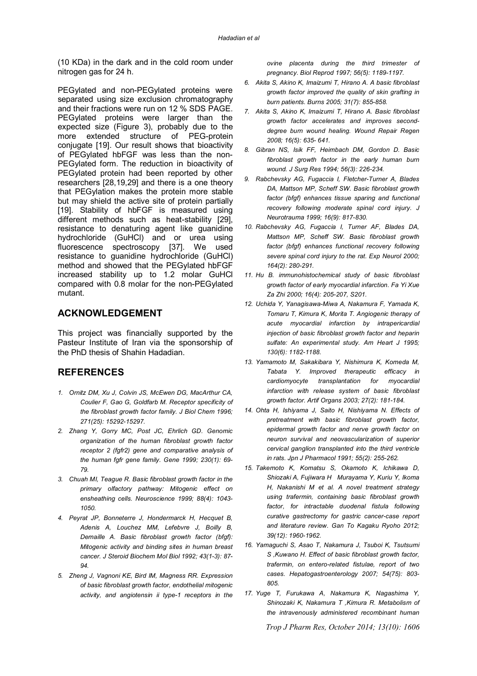(10 KDa) in the dark and in the cold room under nitrogen gas for 24 h.

PEGylated and non-PEGylated proteins were separated using size exclusion chromatography and their fractions were run on 12 % SDS PAGE. PEGylated proteins were larger than the expected size (Figure 3), probably due to the more extended structure of PEG-protein conjugate [19]. Our result shows that bioactivity of PEGylated hbFGF was less than the non-PEGylated form. The reduction in bioactivity of PEGylated protein had been reported by other researchers [28,19,29] and there is a one theory that PEGylation makes the protein more stable but may shield the active site of protein partially [19]. Stability of hbFGF is measured using different methods such as heat-stability [29], resistance to denaturing agent like guanidine hydrochloride (GuHCl) and or urea using fluorescence spectroscopy [37]. We used resistance to guanidine hydrochloride (GuHCl) method and showed that the PEGylated hbFGF increased stability up to 1.2 molar GuHCl compared with 0.8 molar for the non-PEGylated mutant.

## **ACKNOWLEDGEMENT**

This project was financially supported by the Pasteur Institute of Iran via the sponsorship of the PhD thesis of Shahin Hadadian.

## **REFERENCES**

- *1. Ornitz DM, Xu J, Colvin JS, McEwen DG, MacArthur CA, Coulier F, Gao G, Goldfarb M. Receptor specificity of the fibroblast growth factor family. J Biol Chem 1996; 271(25): 15292-15297.*
- *2. Zhang Y, Gorry MC, Post JC, Ehrlich GD. Genomic organization of the human fibroblast growth factor receptor 2 (fgfr2) gene and comparative analysis of the human fgfr gene family. Gene 1999; 230(1): 69- 79.*
- *3. Chuah MI, Teague R. Basic fibroblast growth factor in the primary olfactory pathway: Mitogenic effect on ensheathing cells. Neuroscience 1999; 88(4): 1043- 1050.*
- *4. Peyrat JP, Bonneterre J, Hondermarck H, Hecquet B, Adenis A, Louchez MM, Lefebvre J, Boilly B, Demaille A. Basic fibroblast growth factor (bfgf): Mitogenic activity and binding sites in human breast cancer. J Steroid Biochem Mol Biol 1992; 43(1-3): 87- 94.*
- *5. Zheng J, Vagnoni KE, Bird IM, Magness RR. Expression of basic fibroblast growth factor, endothelial mitogenic activity, and angiotensin ii type-1 receptors in the*

*ovine placenta during the third trimester of pregnancy. Biol Reprod 1997; 56(5): 1189-1197.*

- *6. Akita S, Akino K, Imaizumi T, Hirano A. A basic fibroblast growth factor improved the quality of skin grafting in burn patients. Burns 2005; 31(7): 855-858.*
- *7. Akita S, Akino K, Imaizumi T, Hirano A. Basic fibroblast growth factor accelerates and improves seconddegree burn wound healing. Wound Repair Regen 2008; 16(5): 635- 641.*
- *8. Gibran NS, Isik FF, Heimbach DM, Gordon D. Basic fibroblast growth factor in the early human burn wound. J Surg Res 1994; 56(3): 226-234.*
- *9. Rabchevsky AG, Fugaccia I, Fletcher-Turner A, Blades DA, Mattson MP, Scheff SW. Basic fibroblast growth factor (bfgf) enhances tissue sparing and functional recovery following moderate spinal cord injury. J Neurotrauma 1999; 16(9): 817-830.*
- *10. Rabchevsky AG, Fugaccia I, Turner AF, Blades DA, Mattson MP, Scheff SW. Basic fibroblast growth factor (bfgf) enhances functional recovery following severe spinal cord injury to the rat. Exp Neurol 2000; 164(2): 280-291.*
- *11. Hu B. immunohistochemical study of basic fibroblast growth factor of early myocardial infarction. Fa Yi Xue Za Zhi 2000; 16(4): 205-207, S201.*
- *12. Uchida Y, Yanagisawa-Miwa A, Nakamura F, Yamada K, Tomaru T, Kimura K, Morita T. Angiogenic therapy of acute myocardial infarction by intrapericardial injection of basic fibroblast growth factor and heparin sulfate: An experimental study. Am Heart J 1995; 130(6): 1182-1188.*
- *13. Yamamoto M, Sakakibara Y, Nishimura K, Komeda M, Tabata Y. Improved therapeutic efficacy in cardiomyocyte transplantation for myocardial infarction with release system of basic fibroblast growth factor. Artif Organs 2003; 27(2): 181-184.*
- *14. Ohta H, Ishiyama J, Saito H, Nishiyama N. Effects of pretreatment with basic fibroblast growth factor, epidermal growth factor and nerve growth factor on neuron survival and neovascularization of superior cervical ganglion transplanted into the third ventricle in rats. Jpn J Pharmacol 1991; 55(2): 255-262.*
- *15. Takemoto K, Komatsu S, Okamoto K, Ichikawa D, Shiozaki A, Fujiwara H Murayama Y, Kuriu Y, Ikoma H, Nakanishi M et al. A novel treatment strategy using trafermin, containing basic fibroblast growth factor, for intractable duodenal fistula following curative gastrectomy for gastric cancer-case report and literature review. Gan To Kagaku Ryoho 2012; 39(12): 1960-1962.*
- *16. Yamaguchi S, Asao T, Nakamura J, Tsuboi K, Tsutsumi S ,Kuwano H. Effect of basic fibroblast growth factor, trafermin, on entero-related fistulae, report of two cases. Hepatogastroenterology 2007; 54(75): 803- 805.*
- *17. Yuge T, Furukawa A, Nakamura K, Nagashima Y, Shinozaki K, Nakamura T ,Kimura R. Metabolism of the intravenously administered recombinant human*

*Trop J Pharm Res, October 2014; 13(10): 1606*